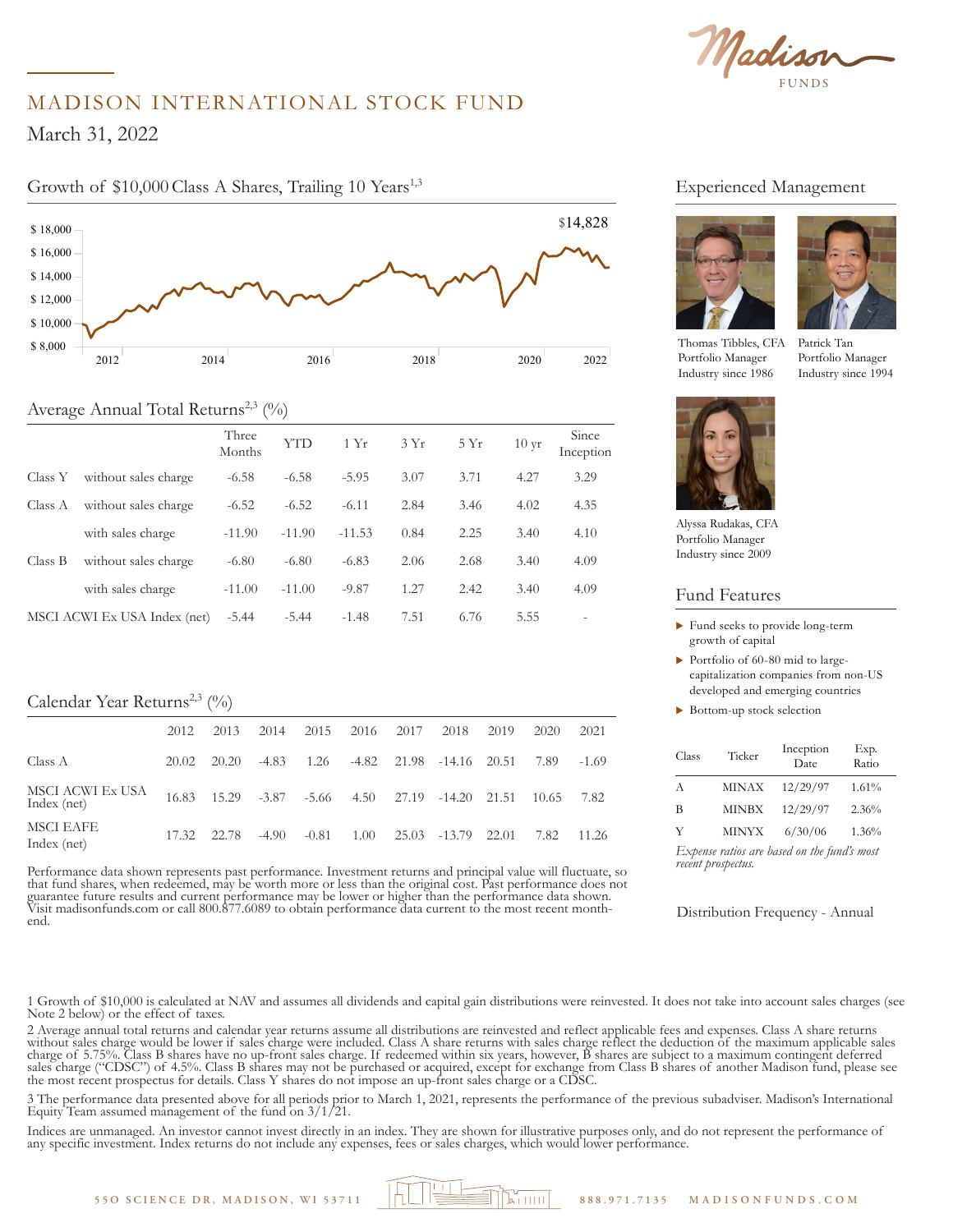Madison

# MADISON INTERNATIONAL STOCK FUND

 $1, 2022$  $5,000$ March 31, 2022

\$ 16,000

# Growth of \$10,000 Class A Shares, Trailing 10 Years<sup>1,3</sup>



# Average Annual Total Returns<sup>2,3</sup> (%)

|         |                              | Three<br>Months | YT'D     | 1 Yr     | 3Yr  | 5Yr  | $10 \,\mathrm{yr}$ | Since<br>Inception       |
|---------|------------------------------|-----------------|----------|----------|------|------|--------------------|--------------------------|
| Class Y | without sales charge         | $-6.58$         | $-6.58$  | $-5.95$  | 3.07 | 3.71 | 4.27               | 3.29                     |
| Class A | without sales charge         | $-6.52$         | $-6.52$  | $-6.11$  | 2.84 | 3.46 | 4.02               | 4.35                     |
|         | with sales charge            | $-11.90$        | $-11.90$ | $-11.53$ | 0.84 | 2.25 | 3.40               | 4.10                     |
| Class B | without sales charge         | $-6.80$         | $-6.80$  | $-6.83$  | 2.06 | 2.68 | 3.40               | 4.09                     |
|         | with sales charge            | $-11.00$        | $-11.00$ | $-9.87$  | 1.27 | 2.42 | 3.40               | 4.09                     |
|         | MSCI ACWI Ex USA Index (net) | $-5.44$         | $-5.44$  | $-1.48$  | 7.51 | 6.76 | 5.55               | $\overline{\phantom{0}}$ |

## Calendar Year Returns<sup>2,3</sup> (%)

|                                 | 2012  | 2013                         | 2014    | 2015    | 2016 | 2017  | 2018                     | 2019  | 2020  | 2021    |
|---------------------------------|-------|------------------------------|---------|---------|------|-------|--------------------------|-------|-------|---------|
| Class A                         | 20.02 | 20.20                        | $-4.83$ | 1.26    |      |       | -4.82 21.98 -14.16 20.51 |       | 7.89  | $-1.69$ |
| MSCI ACWI Ex USA<br>Index (net) |       | 16.83 15.29 -3.87 -5.66 4.50 |         |         |      |       | 27.19 -14.20 21.51       |       | 10.65 | 7.82    |
| <b>MSCI EAFE</b><br>Index (net) | 17.32 | 22.78                        | $-4.90$ | $-0.81$ | 1.00 | 25.03 | -13.79                   | 22.01 | 7.82  | 11.26   |

Performance data shown represents past performance. Investment returns and principal value will fluctuate, so that fund shares, when redeemed, may be worth more or less than the original cost. Past performance does not guarantee future results and current performance may be lower or higher than the performance data shown. Visit madisonfunds.com or call 800.877.6089 to obtain performance data current to the most recent monthend.

## Experienced Management





Thomas Tibbles, CFA Portfolio Manager Industry since 1986

Patrick Tan Portfolio Manager Industry since 1994



Alyssa Rudakas, CFA Portfolio Manager Industry since 2009

#### Fund Features

- $\blacktriangleright$  Fund seeks to provide long-term growth of capital
- $\triangleright$  Portfolio of 60-80 mid to largecapitalization companies from non-US developed and emerging countries
- $\blacktriangleright$  Bottom-up stock selection

| Class | Ticker       | Inception<br>Date                           | Exp.<br>Ratio |
|-------|--------------|---------------------------------------------|---------------|
| A     | <b>MINAX</b> | 12/29/97                                    | 1.61%         |
| В     | <b>MINBX</b> | 12/29/97                                    | 2.36%         |
| Y     | <b>MINYX</b> | 6/30/06                                     | 1.36%         |
|       |              | Expense ratios are based on the fund's most |               |

*recent prospectus.*

Distribution Frequency - Annual

1 Growth of \$10,000 is calculated at NAV and assumes all dividends and capital gain distributions were reinvested. It does not take into account sales charges (see Note 2 below) or the effect of taxes.

2 Average annual total returns and calendar year returns assume all distributions are reinvested and reflect applicable fees and expenses. Class A share returns without sales charge would be lower if sales charge were included. Class A share returns with sales charge reflect the deduction of the maximum applicable sales charge of 5.75%. Class B shares have no up-front sales charge. If redeemed within six years, however, B shares are subject to a maximum contingent deferred sales charge ("CDSC") of 4.5%. Class B shares may not be purchased or acquired, except for exchange from Class B shares of another Madison fund, please see the most recent prospectus for details. Class Y shares do not impose an up-front sales charge or a CDSC.

3 The performance data presented above for all periods prior to March 1, 2021, represents the performance of the previous subadviser. Madison's International Equity Team assumed management of the fund on  $3/1/21$ .

Indices are unmanaged. An investor cannot invest directly in an index. They are shown for illustrative purposes only, and do not represent the performance of any specific investment. Index returns do not include any expenses, fees or sales charges, which would lower performance.